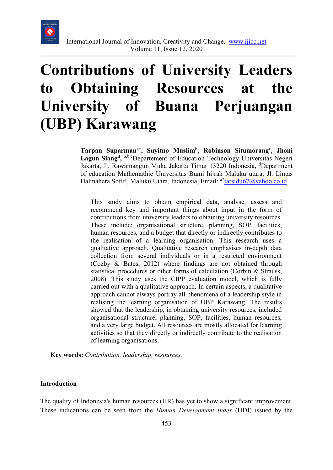

# **Contributions of University Leaders to Obtaining Resources at the University of Buana Perjuangan (UBP) Karawang**

**Tarpan Suparmana\*, Suyitno Muslimb, Robinson Situmorangc , Jhoni**  Lagun Siang<sup>d</sup>, a,b,cDepartement of Education Technology Universitas Negeri Jakarta, Jl. Rawamangun Muka Jakarta Timur 13220 Indonesia, <sup>d</sup>Department of education Mathemathic Universitas Bumi hijrah Maluku utara, Jl. Lintas Halmahera Sofifi, Maluku Utara, Indonesia, Email: <sup>a\*</sup>tarsidu67@yahoo.co.id

This study aims to obtain empirical data, analyse, assess and recommend key and important things about input in the form of contributions from university leaders to obtaining university resources. These include: organisational structure, planning, SOP, facilities, human resources, and a budget that directly or indirectly contributes to the realisation of a learning organisation. This research uses a qualitative approach. Qualitative research emphasises in-depth data collection from several individuals or in a restricted environment (Cozby & Bates, 2012) where findings are not obtained through statistical procedures or other forms of calculation (Corbin & Strauss, 2008). This study uses the CIPP evaluation model, which is fully carried out with a qualitative approach. In certain aspects, a qualitative approach cannot always portray all phenomena of a leadership style in realising the learning organisation of UBP Karawang. The results showed that the leadership, in obtaining university resources, included organisational structure, planning, SOP, facilities, human resources, and a very large budget. All resources are mostly allocated for learning activities so that they directly or indirectly contribute to the realisation of learning organisations.

**Key words:** *Contribution, leadership, resources.* 

#### **Introduction**

The quality of Indonesia's human resources (HR) has yet to show a significant improvement. These indications can be seen from the *Human Development Index* (HDI) issued by the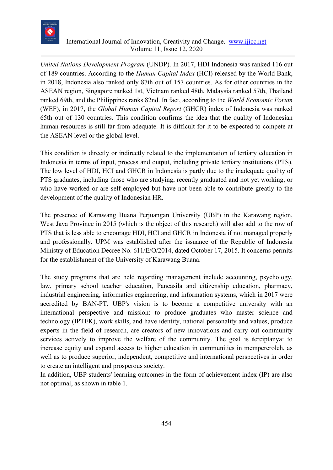

*United Nations Development Program* (UNDP). In 2017, HDI Indonesia was ranked 116 out of 189 countries. According to the *Human Capital Index* (HCI) released by the World Bank, in 2018, Indonesia also ranked only 87th out of 157 countries. As for other countries in the ASEAN region, Singapore ranked 1st, Vietnam ranked 48th, Malaysia ranked 57th, Thailand ranked 69th, and the Philippines ranks 82nd. In fact, according to the *World Economic Forum* (WEF), in 2017, the *Global Human Capital Report* (GHCR) index of Indonesia was ranked 65th out of 130 countries. This condition confirms the idea that the quality of Indonesian human resources is still far from adequate. It is difficult for it to be expected to compete at the ASEAN level or the global level.

This condition is directly or indirectly related to the implementation of tertiary education in Indonesia in terms of input, process and output, including private tertiary institutions (PTS). The low level of HDI, HCI and GHCR in Indonesia is partly due to the inadequate quality of PTS graduates, including those who are studying, recently graduated and not yet working, or who have worked or are self-employed but have not been able to contribute greatly to the development of the quality of Indonesian HR.

The presence of Karawang Buana Perjuangan University (UBP) in the Karawang region, West Java Province in 2015 (which is the object of this research) will also add to the row of PTS that is less able to encourage HDI, HCI and GHCR in Indonesia if not managed properly and professionally. UPM was established after the issuance of the Republic of Indonesia Ministry of Education Decree No. 611/E/O/2014, dated October 17, 2015. It concerns permits for the establishment of the University of Karawang Buana.

The study programs that are held regarding management include accounting, psychology, law, primary school teacher education, Pancasila and citizenship education, pharmacy, industrial engineering, informatics engineering, and information systems, which in 2017 were accredited by BAN-PT. UBP's vision is to become a competitive university with an international perspective and mission: to produce graduates who master science and technology (IPTEK), work skills, and have identity, national personality and values, produce experts in the field of research, are creators of new innovations and carry out community services actively to improve the welfare of the community. The goal is **t**erciptanya: to increase equity and expand access to higher education in communities in mempereroleh, as well as to produce superior, independent, competitive and international perspectives in order to create an intelligent and prosperous society.

In addition, UBP students' learning outcomes in the form of achievement index (IP) are also not optimal, as shown in table 1.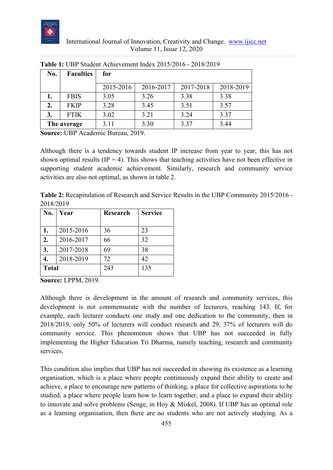

| No.         | <b>Faculties</b> | for       |           |           |           |
|-------------|------------------|-----------|-----------|-----------|-----------|
|             |                  | 2015-2016 | 2016-2017 | 2017-2018 | 2018-2019 |
|             | <b>FBIS</b>      | 3.05      | 3.26      | 3.38      | 3.38      |
| 2.          | <b>FKIP</b>      | 3.28      | 3.45      | 3.51      | 3.57      |
| 3.          | <b>FTIK</b>      | 3.02      | 3.21      | 3.24      | 3.37      |
| The average |                  | 3.11      | 3.30      | 3.37      | 3.44      |

**Table 1:** UBP Student Achievement Index 2015/2016 - 2018/2019

**Source:** UBP Academic Bureau, 2019.

Although there is a tendency towards student IP increase from year to year, this has not shown optimal results (IP = 4). This shows that teaching activities have not been effective in supporting student academic achievement. Similarly, research and community service activities are also not optimal, as shown in table 2.

**Table 2:** Recapitulation of Research and Service Results in the UBP Community 2015/2016 - 2018/2019

| No.              | Year      | <b>Research</b> | <b>Service</b> |
|------------------|-----------|-----------------|----------------|
|                  |           |                 |                |
| 1.               | 2015-2016 | 36              | 23             |
| $\overline{2}$ . | 2016-2017 | 66              | 32             |
| 3.               | 2017-2018 | 69              | 38             |
|                  | 2018-2019 | 72              | 42             |
| <b>Total</b>     |           | 243             | 135            |

**Source:** LPPM, 2019.

Although there is development in the amount of research and community services, this development is not commensurate with the number of lecturers, reaching 143. If, for example, each lecturer conducts one study and one dedication to the community, then in 2018/2019, only 50% of lecturers will conduct research and 29, 37% of lecturers will do community service. This phenomenon shows that UBP has not succeeded in fully implementing the Higher Education Tri Dharma, namely teaching, research and community services.

This condition also implies that UBP has not succeeded in showing its existence as a learning organisation, which is a place where people continuously expand their ability to create and achieve, a place to encourage new patterns of thinking, a place for collective aspirations to be studied, a place where people learn how to learn together, and a place to expand their ability to innovate and solve problems (Senge, in Hoy & Miskel, 2008). If UBP has an optimal role as a learning organisation, then there are no students who are not actively studying. As a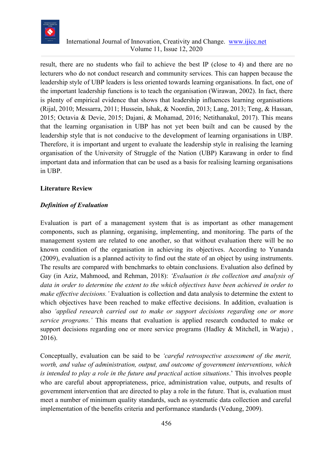

result, there are no students who fail to achieve the best IP (close to 4) and there are no lecturers who do not conduct research and community services. This can happen because the leadership style of UBP leaders is less oriented towards learning organisations. In fact, one of the important leadership functions is to teach the organisation (Wirawan, 2002). In fact, there is plenty of empirical evidence that shows that leadership influences learning organisations (Rijal, 2010; Messarra, 2011; Hussein, Ishak, & Noordin, 2013; Lang, 2013; Teng, & Hassan, 2015; Octavia & Devie, 2015; Dajani, & Mohamad, 2016; Netithanakul, 2017). This means that the learning organisation in UBP has not yet been built and can be caused by the leadership style that is not conducive to the development of learning organisations in UBP. Therefore, it is important and urgent to evaluate the leadership style in realising the learning organisation of the University of Struggle of the Nation (UBP) Karawang in order to find important data and information that can be used as a basis for realising learning organisations in UBP.

#### **Literature Review**

#### *Definition of Evaluation*

Evaluation is part of a management system that is as important as other management components, such as planning, organising, implementing, and monitoring. The parts of the management system are related to one another, so that without evaluation there will be no known condition of the organisation in achieving its objectives. According to Yunanda (2009), evaluation is a planned activity to find out the state of an object by using instruments. The results are compared with benchmarks to obtain conclusions. Evaluation also defined by Gay (in Aziz, Mahmood, and Rehman, 2018): *'Evaluation is the collection and analysis of data in order to determine the extent to the which objectives have been achieved in order to make effective decisions.'* Evaluation is collection and data analysis to determine the extent to which objectives have been reached to make effective decisions. In addition, evaluation is also *'applied research carried out to make or support decisions regarding one or more service programs.'* This means that evaluation is applied research conducted to make or support decisions regarding one or more service programs (Hadley & Mitchell, in Warju) , 2016).

Conceptually, evaluation can be said to be *'careful retrospective assessment of the merit, worth, and value of administration, output, and outcome of government interventions, which is intended to play a role in the future and practical action situations*.' This involves people who are careful about appropriateness, price, administration value, outputs, and results of government intervention that are directed to play a role in the future. That is, evaluation must meet a number of minimum quality standards, such as systematic data collection and careful implementation of the benefits criteria and performance standards (Vedung, 2009).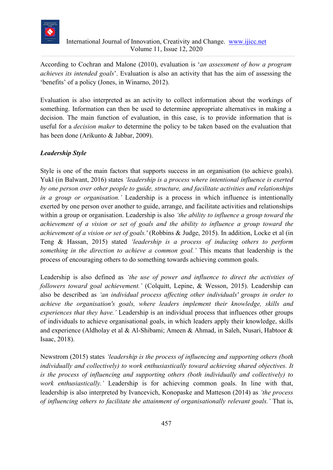

According to Cochran and Malone (2010), evaluation is '*an assessment of how a program achieves its intended goals*'. Evaluation is also an activity that has the aim of assessing the 'benefits' of a policy (Jones, in Winarno, 2012).

Evaluation is also interpreted as an activity to collect information about the workings of something. Information can then be used to determine appropriate alternatives in making a decision. The main function of evaluation, in this case, is to provide information that is useful for a *decision maker* to determine the policy to be taken based on the evaluation that has been done (Arikunto & Jabbar, 2009).

### *Leadership Style*

Style is one of the main factors that supports success in an organisation (to achieve goals). Yukl (in Balwant, 2016) states *'leadership is a process where intentional influence is exerted by one person over other people to guide, structure, and facilitate activities and relationships in a group or organisation.'* Leadership is a process in which influence is intentionally exerted by one person over another to guide, arrange, and facilitate activities and relationships within a group or organisation. Leadership is also *'the ability to influence a group toward the achievement of a vision or set of goals and the ability to influence a group toward the achievement of a vision or set of goals.'* (Robbins & Judge, 2015). In addition, Locke et al (in Teng & Hassan, 2015) stated *'leadership is a process of inducing others to perform something in the direction to achieve a common goal.'* This means that leadership is the process of encouraging others to do something towards achieving common goals.

Leadership is also defined as *'the use of power and influence to direct the activities of followers toward goal achievement.'* (Colquitt, Lepine, & Wesson, 2015). Leadership can also be described as *'an individual process affecting other individuals' groups in order to achieve the organisation's goals, where leaders implement their knowledge, skills and experiences that they have.'* Leadership is an individual process that influences other groups of individuals to achieve organisational goals, in which leaders apply their knowledge, skills and experience (Aldholay et al & Al-Shibami; Ameen & Ahmad, in Saleh, Nusari, Habtoor & Isaac, 2018).

Newstrom (2015) states *'leadership is the process of influencing and supporting others (both individually and collectively) to work enthusiastically toward achieving shared objectives. It is the process of influencing and supporting others (both individually and collectively) to work enthusiastically.'* Leadership is for achieving common goals. In line with that, leadership is also interpreted by Ivancevich, Konopaske and Matteson (2014) as *'the process of influencing others to facilitate the attainment of organisationally relevant goals.'* That is,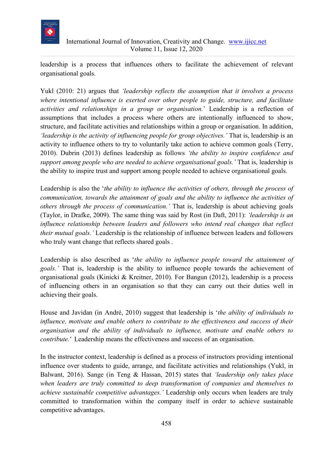

leadership is a process that influences others to facilitate the achievement of relevant organisational goals.

Yukl (2010: 21) argues that *'leadership reflects the assumption that it involves a process where intentional influence is exerted over other people to guide, structure, and facilitate activities and relationships in a group or organisation.*' Leadership is a reflection of assumptions that includes a process where others are intentionally influenced to show, structure, and facilitate activities and relationships within a group or organisation. In addition, *'leadership is the activity of influencing people for group objectives.'* That is, leadership is an activity to influence others to try to voluntarily take action to achieve common goals (Terry, 2010). Dubrin (2013) defines leadership as follows *'the ability to inspire confidence and support among people who are needed to achieve organisational goals.'* That is, leadership is the ability to inspire trust and support among people needed to achieve organisational goals.

Leadership is also the '*the ability to influence the activities of others, through the process of communication, towards the attainment of goals and the ability to influence the activities of others through the process of communication.'* That is, leadership is about achieving goals (Taylor, in Drafke, 2009). The same thing was said by Rost (in Daft, 2011): *'leadership is an influence relationship between leaders and followers who intend real changes that reflect their mutual goals.'* Leadership is the relationship of influence between leaders and followers who truly want change that reflects shared goals .

Leadership is also described as '*the ability to influence people toward the attainment of goals.'* That is, leadership is the ability to influence people towards the achievement of organisational goals (Kinicki & Kreitner, 2010). For Bangun (2012), leadership is a process of influencing others in an organisation so that they can carry out their duties well in achieving their goals.

House and Javidan (in André, 2010) suggest that leadership is '*the ability of individuals to influence, motivate and enable others to contribute to the effectiveness and success of their organisation and the ability of individuals to influence, motivate and enable others to contribute.'* Leadership means the effectiveness and success of an organisation.

In the instructor context, leadership is defined as a process of instructors providing intentional influence over students to guide, arrange, and facilitate activities and relationships (Yukl, in Balwant, 2016). Sange (in Teng & Hassan, 2015) states that *'leadership only takes place when leaders are truly committed to deep transformation of companies and themselves to achieve sustainable competitive advantages.'* Leadership only occurs when leaders are truly committed to transformation within the company itself in order to achieve sustainable competitive advantages.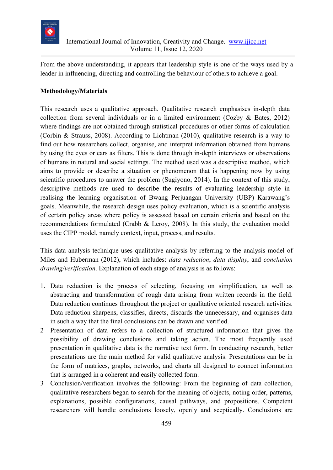

From the above understanding, it appears that leadership style is one of the ways used by a leader in influencing, directing and controlling the behaviour of others to achieve a goal.

### **Methodology/Materials**

This research uses a qualitative approach. Qualitative research emphasises in-depth data collection from several individuals or in a limited environment (Cozby & Bates, 2012) where findings are not obtained through statistical procedures or other forms of calculation (Corbin & Strauss, 2008). According to Lichtman (2010), qualitative research is a way to find out how researchers collect, organise, and interpret information obtained from humans by using the eyes or ears as filters. This is done through in-depth interviews or observations of humans in natural and social settings. The method used was a descriptive method, which aims to provide or describe a situation or phenomenon that is happening now by using scientific procedures to answer the problem (Sugiyono, 2014). In the context of this study, descriptive methods are used to describe the results of evaluating leadership style in realising the learning organisation of Bwang Perjuangan University (UBP) Karawang's goals. Meanwhile, the research design uses policy evaluation, which is a scientific analysis of certain policy areas where policy is assessed based on certain criteria and based on the recommendations formulated (Crabb & Leroy, 2008). In this study, the evaluation model uses the CIPP model, namely context, input, process, and results.

This data analysis technique uses qualitative analysis by referring to the analysis model of Miles and Huberman (2012), which includes: *data reduction*, *data display*, and *conclusion drawing/verification*. Explanation of each stage of analysis is as follows:

- 1. Data reduction is the process of selecting, focusing on simplification, as well as abstracting and transformation of rough data arising from written records in the field. Data reduction continues throughout the project or qualitative oriented research activities. Data reduction sharpens, classifies, directs, discards the unnecessary, and organises data in such a way that the final conclusions can be drawn and verified.
- 2 Presentation of data refers to a collection of structured information that gives the possibility of drawing conclusions and taking action. The most frequently used presentation in qualitative data is the narrative text form. In conducting research, better presentations are the main method for valid qualitative analysis. Presentations can be in the form of matrices, graphs, networks, and charts all designed to connect information that is arranged in a coherent and easily collected form.
- 3 Conclusion/verification involves the following: From the beginning of data collection, qualitative researchers began to search for the meaning of objects, noting order, patterns, explanations, possible configurations, causal pathways, and propositions. Competent researchers will handle conclusions loosely, openly and sceptically. Conclusions are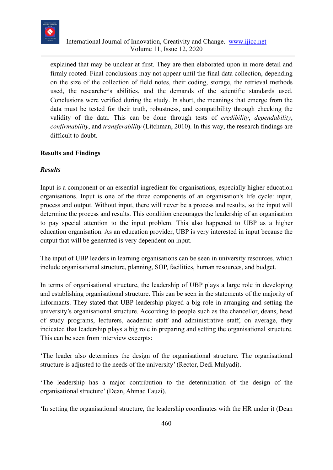

explained that may be unclear at first. They are then elaborated upon in more detail and firmly rooted. Final conclusions may not appear until the final data collection, depending on the size of the collection of field notes, their coding, storage, the retrieval methods used, the researcher's abilities, and the demands of the scientific standards used. Conclusions were verified during the study. In short, the meanings that emerge from the data must be tested for their truth, robustness, and compatibility through checking the validity of the data. This can be done through tests of *credibility*, *dependability*, *confirmability*, and *transferability* (Litchman, 2010). In this way, the research findings are difficult to doubt.

### **Results and Findings**

#### *Results*

Input is a component or an essential ingredient for organisations, especially higher education organisations. Input is one of the three components of an organisation's life cycle: input, process and output. Without input, there will never be a process and results, so the input will determine the process and results. This condition encourages the leadership of an organisation to pay special attention to the input problem. This also happened to UBP as a higher education organisation. As an education provider, UBP is very interested in input because the output that will be generated is very dependent on input.

The input of UBP leaders in learning organisations can be seen in university resources, which include organisational structure, planning, SOP, facilities, human resources, and budget.

In terms of organisational structure, the leadership of UBP plays a large role in developing and establishing organisational structure. This can be seen in the statements of the majority of informants. They stated that UBP leadership played a big role in arranging and setting the university's organisational structure. According to people such as the chancellor, deans, head of study programs, lecturers, academic staff and administrative staff, on average, they indicated that leadership plays a big role in preparing and setting the organisational structure. This can be seen from interview excerpts:

'The leader also determines the design of the organisational structure. The organisational structure is adjusted to the needs of the university' (Rector, Dedi Mulyadi).

'The leadership has a major contribution to the determination of the design of the organisational structure' (Dean, Ahmad Fauzi).

'In setting the organisational structure, the leadership coordinates with the HR under it (Dean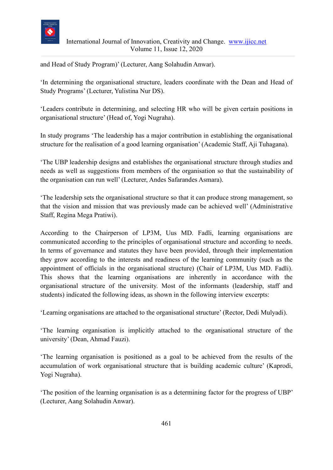

and Head of Study Program)' (Lecturer, Aang Solahudin Anwar).

'In determining the organisational structure, leaders coordinate with the Dean and Head of Study Programs' (Lecturer, Yulistina Nur DS).

'Leaders contribute in determining, and selecting HR who will be given certain positions in organisational structure' (Head of, Yogi Nugraha).

In study programs 'The leadership has a major contribution in establishing the organisational structure for the realisation of a good learning organisation' (Academic Staff, Aji Tuhagana).

'The UBP leadership designs and establishes the organisational structure through studies and needs as well as suggestions from members of the organisation so that the sustainability of the organisation can run well' (Lecturer, Andes Safarandes Asmara).

'The leadership sets the organisational structure so that it can produce strong management, so that the vision and mission that was previously made can be achieved well' (Administrative Staff, Regina Mega Pratiwi).

According to the Chairperson of LP3M, Uus MD. Fadli, learning organisations are communicated according to the principles of organisational structure and according to needs. In terms of governance and statutes they have been provided, through their implementation they grow according to the interests and readiness of the learning community (such as the appointment of officials in the organisational structure) (Chair of LP3M, Uus MD. Fadli). This shows that the learning organisations are inherently in accordance with the organisational structure of the university. Most of the informants (leadership, staff and students) indicated the following ideas, as shown in the following interview excerpts:

'Learning organisations are attached to the organisational structure' (Rector, Dedi Mulyadi).

'The learning organisation is implicitly attached to the organisational structure of the university' (Dean, Ahmad Fauzi).

'The learning organisation is positioned as a goal to be achieved from the results of the accumulation of work organisational structure that is building academic culture' (Kaprodi, Yogi Nugraha).

'The position of the learning organisation is as a determining factor for the progress of UBP' (Lecturer, Aang Solahudin Anwar).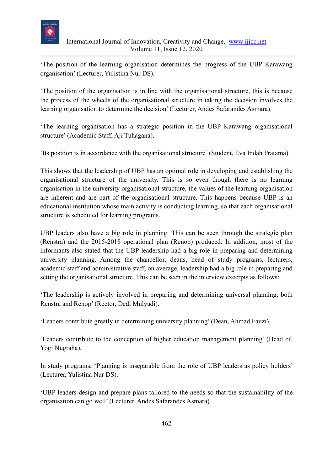

'The position of the learning organisation determines the progress of the UBP Karawang organisation' (Lecturer, Yulistina Nur DS).

'The position of the organisation is in line with the organisational structure, this is because the process of the wheels of the organisational structure in taking the decision involves the learning organisation to determine the decision' (Lecturer, Andes Safarandes Asmara).

'The learning organisation has a strategic position in the UBP Karawang organisational structure' (Academic Staff, Aji Tuhagana).

'Its position is in accordance with the organisational structure' (Student, Eva Indah Pratama).

This shows that the leadership of UBP has an optimal role in developing and establishing the organisational structure of the university. This is so even though there is no learning organisation in the university organisational structure, the values of the learning organisation are inherent and are part of the organisational structure. This happens because UBP is an educational institution whose main activity is conducting learning, so that each organisational structure is scheduled for learning programs.

UBP leaders also have a big role in planning. This can be seen through the strategic plan (Renstra) and the 2015-2018 operational plan (Renop) produced. In addition, most of the informants also stated that the UBP leadership had a big role in preparing and determining university planning. Among the chancellor, deans, head of study programs, lecturers, academic staff and administrative staff, on average, leadership had a big role in preparing and setting the organisational structure. This can be seen in the interview excerpts as follows:

'The leadership is actively involved in preparing and determining universal planning, both Renstra and Renop' (Rector, Dedi Mulyadi).

'Leaders contribute greatly in determining university planning' (Dean, Ahmad Fauzi).

'Leaders contribute to the conception of higher education management planning' (Head of, Yogi Nugraha).

In study programs, 'Planning is inseparable from the role of UBP leaders as policy holders' (Lecturer, Yulistina Nur DS).

'UBP leaders design and prepare plans tailored to the needs so that the sustainability of the organisation can go well' (Lecturer, Andes Safarandes Asmara).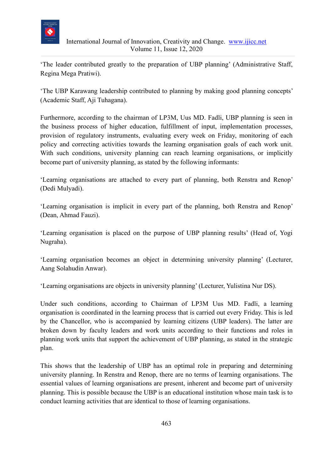

'The leader contributed greatly to the preparation of UBP planning' (Administrative Staff, Regina Mega Pratiwi).

'The UBP Karawang leadership contributed to planning by making good planning concepts' (Academic Staff, Aji Tuhagana).

Furthermore, according to the chairman of LP3M, Uus MD. Fadli, UBP planning is seen in the business process of higher education, fulfillment of input, implementation processes, provision of regulatory instruments, evaluating every week on Friday, monitoring of each policy and correcting activities towards the learning organisation goals of each work unit. With such conditions, university planning can reach learning organisations, or implicitly become part of university planning, as stated by the following informants:

'Learning organisations are attached to every part of planning, both Renstra and Renop' (Dedi Mulyadi).

'Learning organisation is implicit in every part of the planning, both Renstra and Renop' (Dean, Ahmad Fauzi).

'Learning organisation is placed on the purpose of UBP planning results' (Head of, Yogi Nugraha).

'Learning organisation becomes an object in determining university planning' (Lecturer, Aang Solahudin Anwar).

'Learning organisations are objects in university planning' (Lecturer, Yulistina Nur DS).

Under such conditions, according to Chairman of LP3M Uus MD. Fadli, a learning organisation is coordinated in the learning process that is carried out every Friday. This is led by the Chancellor, who is accompanied by learning citizens (UBP leaders). The latter are broken down by faculty leaders and work units according to their functions and roles in planning work units that support the achievement of UBP planning, as stated in the strategic plan.

This shows that the leadership of UBP has an optimal role in preparing and determining university planning. In Renstra and Renop, there are no terms of learning organisations. The essential values of learning organisations are present, inherent and become part of university planning. This is possible because the UBP is an educational institution whose main task is to conduct learning activities that are identical to those of learning organisations.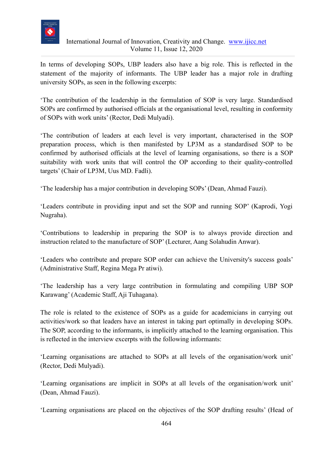

In terms of developing SOPs, UBP leaders also have a big role. This is reflected in the statement of the majority of informants. The UBP leader has a major role in drafting university SOPs, as seen in the following excerpts:

'The contribution of the leadership in the formulation of SOP is very large. Standardised SOPs are confirmed by authorised officials at the organisational level, resulting in conformity of SOPs with work units' (Rector, Dedi Mulyadi).

'The contribution of leaders at each level is very important, characterised in the SOP preparation process, which is then manifested by LP3M as a standardised SOP to be confirmed by authorised officials at the level of learning organisations, so there is a SOP suitability with work units that will control the OP according to their quality-controlled targets' (Chair of LP3M, Uus MD. Fadli).

'The leadership has a major contribution in developing SOPs' (Dean, Ahmad Fauzi).

'Leaders contribute in providing input and set the SOP and running SOP' (Kaprodi, Yogi Nugraha).

'Contributions to leadership in preparing the SOP is to always provide direction and instruction related to the manufacture of SOP' (Lecturer, Aang Solahudin Anwar).

'Leaders who contribute and prepare SOP order can achieve the University's success goals' (Administrative Staff, Regina Mega Pr atiwi).

'The leadership has a very large contribution in formulating and compiling UBP SOP Karawang' (Academic Staff, Aji Tuhagana).

The role is related to the existence of SOPs as a guide for academicians in carrying out activities/work so that leaders have an interest in taking part optimally in developing SOPs. The SOP, according to the informants, is implicitly attached to the learning organisation. This is reflected in the interview excerpts with the following informants:

'Learning organisations are attached to SOPs at all levels of the organisation/work unit' (Rector, Dedi Mulyadi).

'Learning organisations are implicit in SOPs at all levels of the organisation/work unit' (Dean, Ahmad Fauzi).

'Learning organisations are placed on the objectives of the SOP drafting results' (Head of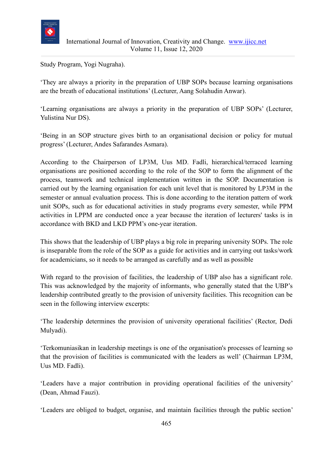

Study Program, Yogi Nugraha).

'They are always a priority in the preparation of UBP SOPs because learning organisations are the breath of educational institutions' (Lecturer, Aang Solahudin Anwar).

'Learning organisations are always a priority in the preparation of UBP SOPs' (Lecturer, Yulistina Nur DS).

'Being in an SOP structure gives birth to an organisational decision or policy for mutual progress' (Lecturer, Andes Safarandes Asmara).

According to the Chairperson of LP3M, Uus MD. Fadli, hierarchical/terraced learning organisations are positioned according to the role of the SOP to form the alignment of the process, teamwork and technical implementation written in the SOP. Documentation is carried out by the learning organisation for each unit level that is monitored by LP3M in the semester or annual evaluation process. This is done according to the iteration pattern of work unit SOPs, such as for educational activities in study programs every semester, while PPM activities in LPPM are conducted once a year because the iteration of lecturers' tasks is in accordance with BKD and LKD PPM's one-year iteration.

This shows that the leadership of UBP plays a big role in preparing university SOPs. The role is inseparable from the role of the SOP as a guide for activities and in carrying out tasks/work for academicians, so it needs to be arranged as carefully and as well as possible

With regard to the provision of facilities, the leadership of UBP also has a significant role. This was acknowledged by the majority of informants, who generally stated that the UBP's leadership contributed greatly to the provision of university facilities. This recognition can be seen in the following interview excerpts:

'The leadership determines the provision of university operational facilities' (Rector, Dedi Mulyadi).

'Terkomuniasikan in leadership meetings is one of the organisation's processes of learning so that the provision of facilities is communicated with the leaders as well' (Chairman LP3M, Uus MD. Fadli).

'Leaders have a major contribution in providing operational facilities of the university' (Dean, Ahmad Fauzi).

'Leaders are obliged to budget, organise, and maintain facilities through the public section'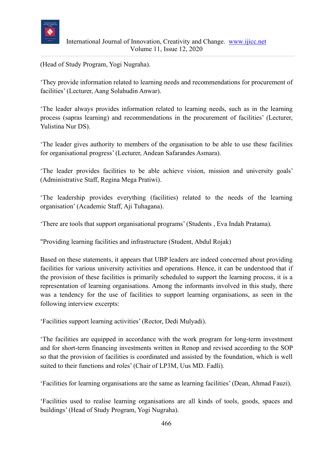

(Head of Study Program, Yogi Nugraha).

'They provide information related to learning needs and recommendations for procurement of facilities' (Lecturer, Aang Solahudin Anwar).

'The leader always provides information related to learning needs, such as in the learning process (sapras learning) and recommendations in the procurement of facilities' (Lecturer, Yulistina Nur DS).

'The leader gives authority to members of the organisation to be able to use these facilities for organisational progress' (Lecturer, Andean Safarandes Asmara).

'The leader provides facilities to be able achieve vision, mission and university goals' (Administrative Staff, Regina Mega Pratiwi).

'The leadership provides everything (facilities) related to the needs of the learning organisation' (Academic Staff, Aji Tuhagana).

'There are tools that support organisational programs' (Students , Eva Indah Pratama).

"Providing learning facilities and infrastructure (Student, Abdul Rojak)

Based on these statements, it appears that UBP leaders are indeed concerned about providing facilities for various university activities and operations. Hence, it can be understood that if the provision of these facilities is primarily scheduled to support the learning process, it is a representation of learning organisations. Among the informants involved in this study, there was a tendency for the use of facilities to support learning organisations, as seen in the following interview excerpts:

'Facilities support learning activities' (Rector, Dedi Mulyadi).

'The facilities are equipped in accordance with the work program for long-term investment and for short-term financing investments written in Renop and revised according to the SOP so that the provision of facilities is coordinated and assisted by the foundation, which is well suited to their functions and roles' (Chair of LP3M, Uus MD. Fadli).

'Facilities for learning organisations are the same as learning facilities' (Dean, Ahmad Fauzi).

'Facilities used to realise learning organisations are all kinds of tools, goods, spaces and buildings' (Head of Study Program, Yogi Nugraha).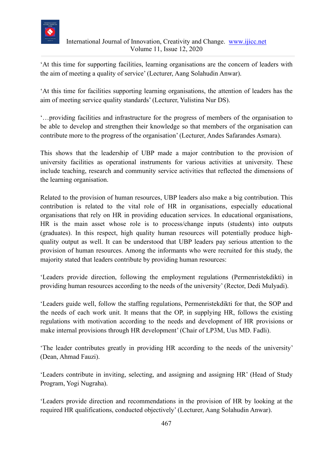

'At this time for supporting facilities, learning organisations are the concern of leaders with the aim of meeting a quality of service' (Lecturer, Aang Solahudin Anwar).

'At this time for facilities supporting learning organisations, the attention of leaders has the aim of meeting service quality standards' (Lecturer, Yulistina Nur DS).

'…providing facilities and infrastructure for the progress of members of the organisation to be able to develop and strengthen their knowledge so that members of the organisation can contribute more to the progress of the organisation' (Lecturer, Andes Safarandes Asmara).

This shows that the leadership of UBP made a major contribution to the provision of university facilities as operational instruments for various activities at university. These include teaching, research and community service activities that reflected the dimensions of the learning organisation.

Related to the provision of human resources, UBP leaders also make a big contribution. This contribution is related to the vital role of HR in organisations, especially educational organisations that rely on HR in providing education services. In educational organisations, HR is the main asset whose role is to process/change inputs (students) into outputs (graduates). In this respect, high quality human resources will potentially produce highquality output as well. It can be understood that UBP leaders pay serious attention to the provision of human resources. Among the informants who were recruited for this study, the majority stated that leaders contribute by providing human resources:

'Leaders provide direction, following the employment regulations (Permenristekdikti) in providing human resources according to the needs of the university' (Rector, Dedi Mulyadi).

'Leaders guide well, follow the staffing regulations, Permenristekdikti for that, the SOP and the needs of each work unit. It means that the OP, in supplying HR, follows the existing regulations with motivation according to the needs and development of HR provisions or make internal provisions through HR development' (Chair of LP3M, Uus MD. Fadli).

'The leader contributes greatly in providing HR according to the needs of the university' (Dean, Ahmad Fauzi).

'Leaders contribute in inviting, selecting, and assigning and assigning HR' (Head of Study Program, Yogi Nugraha).

'Leaders provide direction and recommendations in the provision of HR by looking at the required HR qualifications, conducted objectively' (Lecturer, Aang Solahudin Anwar).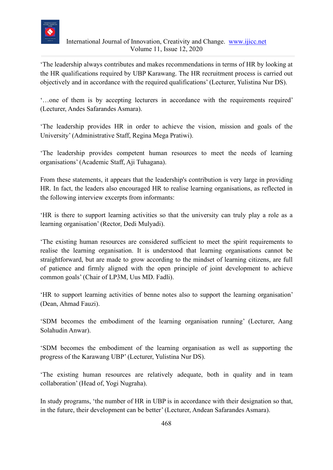

'The leadership always contributes and makes recommendations in terms of HR by looking at the HR qualifications required by UBP Karawang. The HR recruitment process is carried out objectively and in accordance with the required qualifications' (Lecturer, Yulistina Nur DS).

'…one of them is by accepting lecturers in accordance with the requirements required' (Lecturer, Andes Safarandes Asmara).

'The leadership provides HR in order to achieve the vision, mission and goals of the University' (Administrative Staff, Regina Mega Pratiwi).

'The leadership provides competent human resources to meet the needs of learning organisations' (Academic Staff, Aji Tuhagana).

From these statements, it appears that the leadership's contribution is very large in providing HR. In fact, the leaders also encouraged HR to realise learning organisations, as reflected in the following interview excerpts from informants:

'HR is there to support learning activities so that the university can truly play a role as a learning organisation' (Rector, Dedi Mulyadi).

'The existing human resources are considered sufficient to meet the spirit requirements to realise the learning organisation. It is understood that learning organisations cannot be straightforward, but are made to grow according to the mindset of learning citizens, are full of patience and firmly aligned with the open principle of joint development to achieve common goals' (Chair of LP3M, Uus MD. Fadli).

'HR to support learning activities of benne notes also to support the learning organisation' (Dean, Ahmad Fauzi).

'SDM becomes the embodiment of the learning organisation running' (Lecturer, Aang Solahudin Anwar).

'SDM becomes the embodiment of the learning organisation as well as supporting the progress of the Karawang UBP' (Lecturer, Yulistina Nur DS).

'The existing human resources are relatively adequate, both in quality and in team collaboration' (Head of, Yogi Nugraha).

In study programs, 'the number of HR in UBP is in accordance with their designation so that, in the future, their development can be better' (Lecturer, Andean Safarandes Asmara).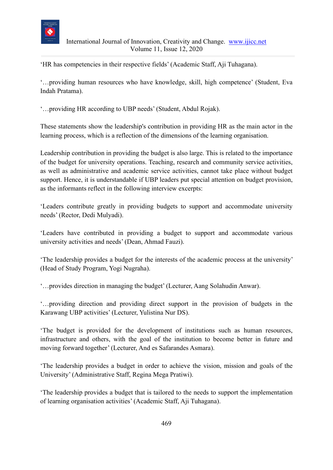

'HR has competencies in their respective fields' (Academic Staff, Aji Tuhagana).

'…providing human resources who have knowledge, skill, high competence' (Student, Eva Indah Pratama).

'…providing HR according to UBP needs' (Student, Abdul Rojak).

These statements show the leadership's contribution in providing HR as the main actor in the learning process, which is a reflection of the dimensions of the learning organisation.

Leadership contribution in providing the budget is also large. This is related to the importance of the budget for university operations. Teaching, research and community service activities, as well as administrative and academic service activities, cannot take place without budget support. Hence, it is understandable if UBP leaders put special attention on budget provision, as the informants reflect in the following interview excerpts:

'Leaders contribute greatly in providing budgets to support and accommodate university needs' (Rector, Dedi Mulyadi).

'Leaders have contributed in providing a budget to support and accommodate various university activities and needs' (Dean, Ahmad Fauzi).

'The leadership provides a budget for the interests of the academic process at the university' (Head of Study Program, Yogi Nugraha).

'…provides direction in managing the budget' (Lecturer, Aang Solahudin Anwar).

'…providing direction and providing direct support in the provision of budgets in the Karawang UBP activities' (Lecturer, Yulistina Nur DS).

'The budget is provided for the development of institutions such as human resources, infrastructure and others, with the goal of the institution to become better in future and moving forward together' (Lecturer, And es Safarandes Asmara).

'The leadership provides a budget in order to achieve the vision, mission and goals of the University' (Administrative Staff, Regina Mega Pratiwi).

'The leadership provides a budget that is tailored to the needs to support the implementation of learning organisation activities' (Academic Staff, Aji Tuhagana).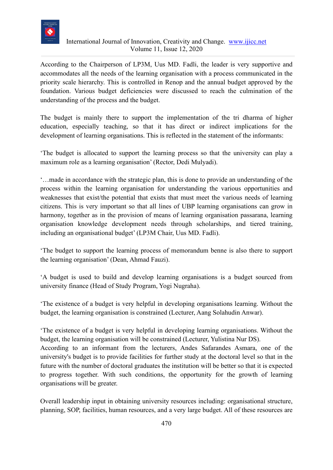

According to the Chairperson of LP3M, Uus MD. Fadli, the leader is very supportive and accommodates all the needs of the learning organisation with a process communicated in the priority scale hierarchy. This is controlled in Renop and the annual budget approved by the foundation. Various budget deficiencies were discussed to reach the culmination of the understanding of the process and the budget.

The budget is mainly there to support the implementation of the tri dharma of higher education, especially teaching, so that it has direct or indirect implications for the development of learning organisations. This is reflected in the statement of the informants:

'The budget is allocated to support the learning process so that the university can play a maximum role as a learning organisation' (Rector, Dedi Mulyadi).

'…made in accordance with the strategic plan, this is done to provide an understanding of the process within the learning organisation for understanding the various opportunities and weaknesses that exist/the potential that exists that must meet the various needs of learning citizens. This is very important so that all lines of UBP learning organisations can grow in harmony, together as in the provision of means of learning organisation passarana, learning organisation knowledge development needs through scholarships, and tiered training, including an organisational budget' (LP3M Chair, Uus MD. Fadli).

'The budget to support the learning process of memorandum benne is also there to support the learning organisation' (Dean, Ahmad Fauzi).

'A budget is used to build and develop learning organisations is a budget sourced from university finance (Head of Study Program, Yogi Nugraha).

'The existence of a budget is very helpful in developing organisations learning. Without the budget, the learning organisation is constrained (Lecturer, Aang Solahudin Anwar).

'The existence of a budget is very helpful in developing learning organisations. Without the budget, the learning organisation will be constrained (Lecturer, Yulistina Nur DS).

According to an informant from the lecturers, Andes Safarandes Asmara, one of the university's budget is to provide facilities for further study at the doctoral level so that in the future with the number of doctoral graduates the institution will be better so that it is expected to progress together. With such conditions, the opportunity for the growth of learning organisations will be greater.

Overall leadership input in obtaining university resources including: organisational structure, planning, SOP, facilities, human resources, and a very large budget. All of these resources are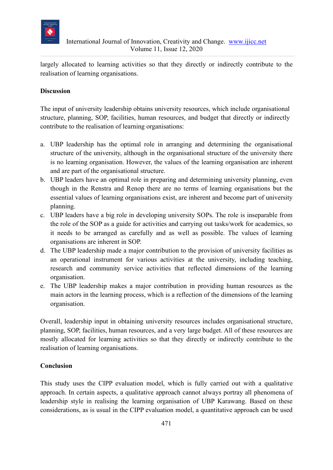

largely allocated to learning activities so that they directly or indirectly contribute to the realisation of learning organisations.

### **Discussion**

The input of university leadership obtains university resources, which include organisational structure, planning, SOP, facilities, human resources, and budget that directly or indirectly contribute to the realisation of learning organisations:

- a. UBP leadership has the optimal role in arranging and determining the organisational structure of the university, although in the organisational structure of the university there is no learning organisation. However, the values of the learning organisation are inherent and are part of the organisational structure.
- b. UBP leaders have an optimal role in preparing and determining university planning, even though in the Renstra and Renop there are no terms of learning organisations but the essential values of learning organisations exist, are inherent and become part of university planning.
- c. UBP leaders have a big role in developing university SOPs. The role is inseparable from the role of the SOP as a guide for activities and carrying out tasks/work for academics, so it needs to be arranged as carefully and as well as possible. The values of learning organisations are inherent in SOP.
- d. The UBP leadership made a major contribution to the provision of university facilities as an operational instrument for various activities at the university, including teaching, research and community service activities that reflected dimensions of the learning organisation.
- e. The UBP leadership makes a major contribution in providing human resources as the main actors in the learning process, which is a reflection of the dimensions of the learning organisation.

Overall, leadership input in obtaining university resources includes organisational structure, planning, SOP, facilities, human resources, and a very large budget. All of these resources are mostly allocated for learning activities so that they directly or indirectly contribute to the realisation of learning organisations.

#### **Conclusion**

This study uses the CIPP evaluation model, which is fully carried out with a qualitative approach. In certain aspects, a qualitative approach cannot always portray all phenomena of leadership style in realising the learning organisation of UBP Karawang. Based on these considerations, as is usual in the CIPP evaluation model, a quantitative approach can be used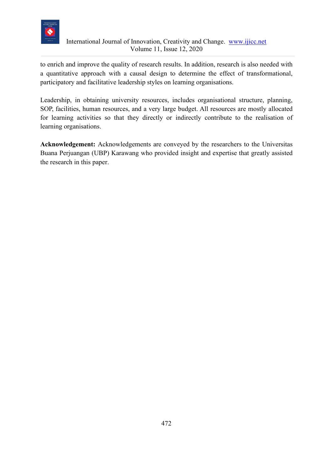

to enrich and improve the quality of research results. In addition, research is also needed with a quantitative approach with a causal design to determine the effect of transformational, participatory and facilitative leadership styles on learning organisations.

Leadership, in obtaining university resources, includes organisational structure, planning, SOP, facilities, human resources, and a very large budget. All resources are mostly allocated for learning activities so that they directly or indirectly contribute to the realisation of learning organisations.

**Acknowledgement:** Acknowledgements are conveyed by the researchers to the Universitas Buana Perjuangan (UBP) Karawang who provided insight and expertise that greatly assisted the research in this paper.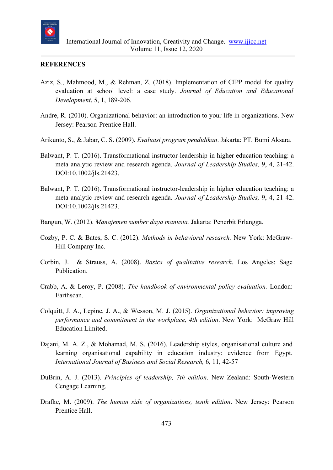

#### **REFERENCES**

- Aziz, S., Mahmood, M., & Rehman, Z. (2018). Implementation of CIPP model for quality evaluation at school level: a case study. *Journal of Education and Educational Development*, 5, 1, 189-206.
- Andre, R. (2010). Organizational behavior: an introduction to your life in organizations. New Jersey: Pearson-Prentice Hall.
- Arikunto, S., & Jabar, C. S. (2009). *Evaluasi program pendidikan*. Jakarta: PT. Bumi Aksara.
- Balwant, P. T. (2016). Transformational instructor-leadership in higher education teaching: a meta analytic review and research agenda. *Journal of Leadership Studies,* 9, 4, 21-42. DOI:10.1002/jls.21423.
- Balwant, P. T. (2016). Transformational instructor-leadership in higher education teaching: a meta analytic review and research agenda. *Journal of Leadership Studies,* 9, 4, 21-42. DOI:10.1002/jls.21423.
- Bangun, W. (2012). *Manajemen sumber daya manusia.* Jakarta: Penerbit Erlangga.
- Cozby, P. C. & Bates, S. C. (2012). *Methods in behavioral research.* New York: McGraw-Hill Company Inc.
- Corbin, J. & Strauss, A. (2008). *Basics of qualitative research.* Los Angeles: Sage Publication.
- Crabb, A. & Leroy, P. (2008). *The handbook of environmental policy evaluation.* London: Earthscan.
- Colquitt, J. A., Lepine, J. A., & Wesson, M. J. (2015). *Organizational behavior: improving performance and commitment in the workplace, 4th edition*. New York: McGraw Hill Education Limited.
- Dajani, M. A. Z., & Mohamad, M. S. (2016). Leadership styles, organisational culture and learning organisational capability in education industry: evidence from Egypt. *International Journal of Business and Social Research,* 6, 11, 42-57
- DuBrin, A. J. (2013). *Principles of leadership, 7th edition*. New Zealand: South-Western Cengage Learning.
- Drafke, M. (2009). *The human side of organizations, tenth edition*. New Jersey: Pearson Prentice Hall.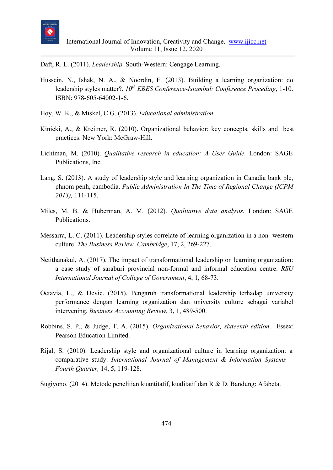

Daft, R. L. (2011). *Leadership.* South-Western: Cengage Learning.

- Hussein, N., Ishak, N. A., & Noordin, F. (2013). Building a learning organization: do leadership styles matter?. *10th EBES Conference-Istambul: Conference Proceding*, 1-10. ISBN: 978-605-64002-1-6.
- Hoy, W. K., & Miskel, C.G. (2013). *Educational administration*
- Kinicki, A., & Kreitner, R. (2010). Organizational behavior: key concepts, skills and best practices. New York: McGraw-Hill.
- Lichtman, M. (2010). *Qualitative research in education: A User Guide.* London: SAGE Publications, Inc.
- Lang, S. (2013). A study of leadership style and learning organization in Canadia bank plc, phnom penh, cambodia. *Public Administration In The Time of Regional Change (ICPM 2013),* 111-115.
- Miles, M. B. & Huberman, A. M. (2012). *Qualitative data analysis.* London: SAGE Publications.
- Messarra, L. C. (2011). Leadership styles correlate of learning organization in a non- western culture. *The Business Review, Cambridge*, 17, 2, 269-227.
- Netithanakul, A. (2017). The impact of transformational leadership on learning organization: a case study of saraburi provincial non-formal and informal education centre. *RSU International Journal of College of Government*, 4, 1, 68-73.
- Octavia, L., & Devie. (2015). Pengaruh transformational leadership terhadap university performance dengan learning organization dan university culture sebagai variabel intervening. *Business Accounting Review*, 3, 1, 489-500.
- Robbins, S. P., & Judge, T. A. (2015). *Organizational behavior, sixteenth edition*. Essex: Pearson Education Limited.
- Rijal, S. (2010). Leadership style and organizational culture in learning organization: a comparative study. *International Journal of Management & Information Systems – Fourth Quarter,* 14, 5, 119-128.
- Sugiyono. (2014). Metode penelitian kuantitatif, kualitatif dan R & D. Bandung: Afabeta.